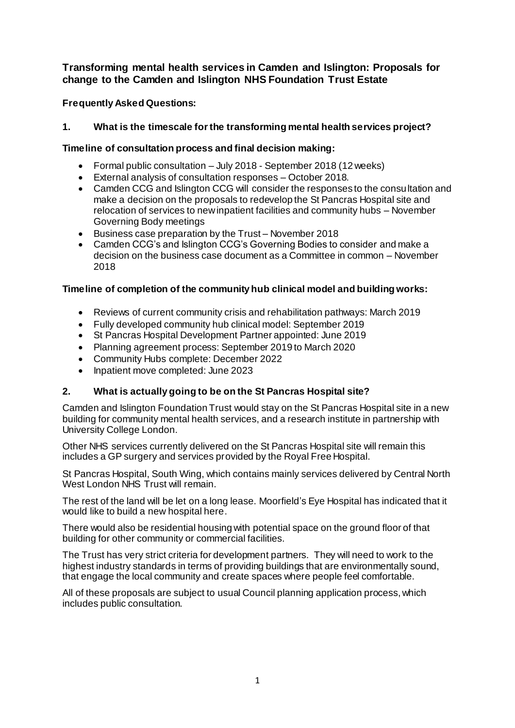# **Transforming mental health services in Camden and Islington: Proposals for change to the Camden and Islington NHS Foundation Trust Estate**

**Frequently Asked Questions:** 

# **1. What is the timescale for the transforming mental health services project?**

# **Timeline of consultation process and final decision making:**

- Formal public consultation July 2018 September 2018 (12 weeks)
- External analysis of consultation responses October 2018.
- Camden CCG and Islington CCG will consider the responses to the consultation and make a decision on the proposals to redevelop the St Pancras Hospital site and relocation of services to new inpatient facilities and community hubs – November Governing Body meetings
- Business case preparation by the Trust November 2018
- Camden CCG's and Islington CCG's Governing Bodies to consider and make a decision on the business case document as a Committee in common – November 2018

# **Timeline of completion of the community hub clinical model and building works:**

- Reviews of current community crisis and rehabilitation pathways: March 2019
- Fully developed community hub clinical model: September 2019
- St Pancras Hospital Development Partner appointed: June 2019
- Planning agreement process: September 2019 to March 2020
- Community Hubs complete: December 2022
- Inpatient move completed: June 2023

## **2. What is actually going to be on the St Pancras Hospital site?**

Camden and Islington Foundation Trust would stay on the St Pancras Hospital site in a new building for community mental health services, and a research institute in partnership with University College London.

Other NHS services currently delivered on the St Pancras Hospital site will remain this includes a GP surgery and services provided by the Royal Free Hospital.

St Pancras Hospital, South Wing, which contains mainly services delivered by Central North West London NHS Trust will remain.

The rest of the land will be let on a long lease. Moorfield's Eye Hospital has indicated that it would like to build a new hospital here.

There would also be residential housing with potential space on the ground floor of that building for other community or commercial facilities.

The Trust has very strict criteria for development partners. They will need to work to the highest industry standards in terms of providing buildings that are environmentally sound, that engage the local community and create spaces where people feel comfortable.

All of these proposals are subject to usual Council planning application process, which includes public consultation.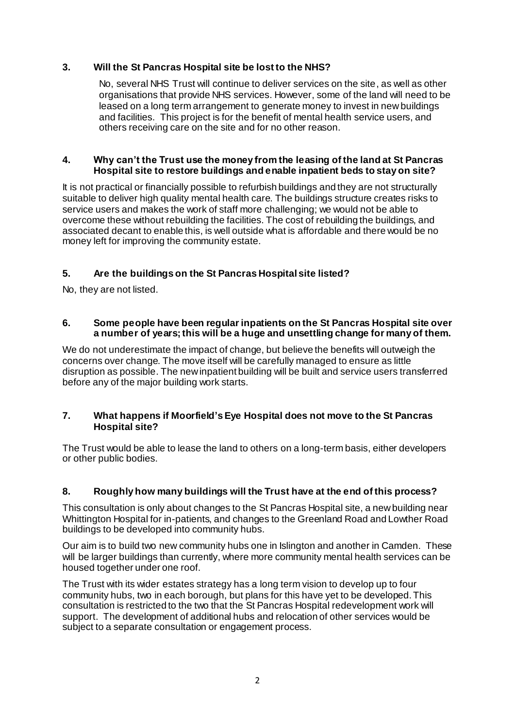### **3. Will the St Pancras Hospital site be lost to the NHS?**

No, several NHS Trust will continue to deliver services on the site, as well as other organisations that provide NHS services. However, some of the land will need to be leased on a long term arrangement to generate money to invest in new buildings and facilities. This project is for the benefit of mental health service users, and others receiving care on the site and for no other reason.

#### **4. Why can't the Trust use the money from the leasing of the land at St Pancras Hospital site to restore buildings and enable inpatient beds to stay on site?**

It is not practical or financially possible to refurbish buildings and they are not structurally suitable to deliver high quality mental health care. The buildings structure creates risks to service users and makes the work of staff more challenging; we would not be able to overcome these without rebuilding the facilities. The cost of rebuilding the buildings, and associated decant to enable this, is well outside what is affordable and there would be no money left for improving the community estate.

## **5. Are the buildings on the St Pancras Hospital site listed?**

No, they are not listed.

#### **6. Some people have been regular inpatients on the St Pancras Hospital site over a number of years; this will be a huge and unsettling change for many of them.**

We do not underestimate the impact of change, but believe the benefits will outweigh the concerns over change. The move itself will be carefully managed to ensure as little disruption as possible. The new inpatient building will be built and service users transferred before any of the major building work starts.

### **7. What happens if Moorfield'sEye Hospital does not move to the St Pancras Hospital site?**

The Trust would be able to lease the land to others on a long-term basis, either developers or other public bodies.

#### **8. Roughly how many buildings will the Trust have at the end of this process?**

This consultation is only about changes to the St Pancras Hospital site, a new building near Whittington Hospital for in-patients, and changes to the Greenland Road and Lowther Road buildings to be developed into community hubs.

Our aim is to build two new community hubs one in Islington and another in Camden. These will be larger buildings than currently, where more community mental health services can be housed together under one roof.

The Trust with its wider estates strategy has a long term vision to develop up to four community hubs, two in each borough, but plans for this have yet to be developed. This consultation is restricted to the two that the St Pancras Hospital redevelopment work will support. The development of additional hubs and relocation of other services would be subject to a separate consultation or engagement process.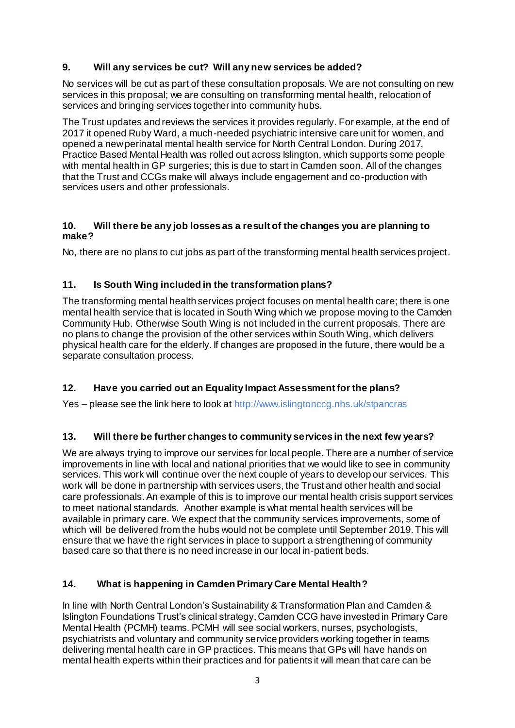# **9. Will any services be cut? Will any new services be added?**

No services will be cut as part of these consultation proposals. We are not consulting on new services in this proposal; we are consulting on transforming mental health, relocation of services and bringing services together into community hubs.

The Trust updates and reviews the services it provides regularly. For example, at the end of 2017 it opened Ruby Ward, a much-needed psychiatric intensive care unit for women, and opened a new perinatal mental health service for North Central London. During 2017, Practice Based Mental Health was rolled out across Islington, which supports some people with mental health in GP surgeries; this is due to start in Camden soon. All of the changes that the Trust and CCGs make will always include engagement and co-production with services users and other professionals.

### **10. Will there be any job losses as a result of the changes you are planning to make?**

No, there are no plans to cut jobs as part of the transforming mental health services project.

## **11. Is South Wing included in the transformation plans?**

The transforming mental health services project focuses on mental health care; there is one mental health service that is located in South Wing which we propose moving to the Camden Community Hub. Otherwise South Wing is not included in the current proposals. There are no plans to change the provision of the other services within South Wing, which delivers physical health care for the elderly. If changes are proposed in the future, there would be a separate consultation process.

## **12. Have you carried out an Equality Impact Assessment for the plans?**

Yes – please see the link here to look at<http://www.islingtonccg.nhs.uk/stpancras>

## **13. Will there be further changes to community services in the next few years?**

We are always trying to improve our services for local people. There are a number of service improvements in line with local and national priorities that we would like to see in community services. This work will continue over the next couple of years to develop our services. This work will be done in partnership with services users, the Trust and other health and social care professionals. An example of this is to improve our mental health crisis support services to meet national standards. Another example is what mental health services will be available in primary care. We expect that the community services improvements, some of which will be delivered from the hubs would not be complete until September 2019. This will ensure that we have the right services in place to support a strengthening of community based care so that there is no need increase in our local in-patient beds.

## **14. What is happening in Camden Primary Care Mental Health?**

In line with North Central London's Sustainability & Transformation Plan and Camden & Islington Foundations Trust's clinical strategy, Camden CCG have invested in Primary Care Mental Health (PCMH) teams. PCMH will see social workers, nurses, psychologists, psychiatrists and voluntary and community service providers working together in teams delivering mental health care in GP practices. This means that GPs will have hands on mental health experts within their practices and for patients it will mean that care can be